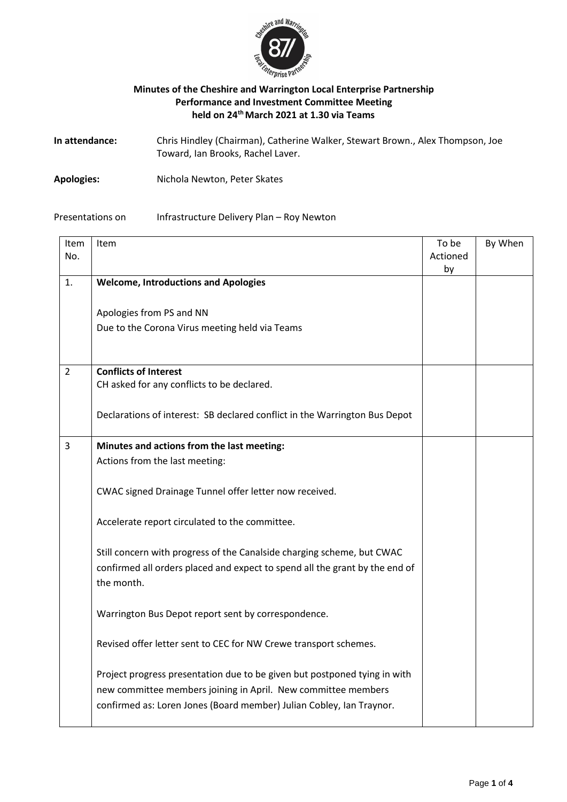

## **Minutes of the Cheshire and Warrington Local Enterprise Partnership Performance and Investment Committee Meeting held on 24thMarch 2021 at 1.30 via Teams**

| In attendance: | Chris Hindley (Chairman), Catherine Walker, Stewart Brown., Alex Thompson, Joe |
|----------------|--------------------------------------------------------------------------------|
|                | Toward, Ian Brooks, Rachel Laver.                                              |

**Apologies:** Nichola Newton, Peter Skates

## Presentations on Infrastructure Delivery Plan – Roy Newton

| Item           | Item                                                                        | To be    | By When |
|----------------|-----------------------------------------------------------------------------|----------|---------|
| No.            |                                                                             | Actioned |         |
|                |                                                                             | by       |         |
| $\mathbf{1}$ . | <b>Welcome, Introductions and Apologies</b>                                 |          |         |
|                |                                                                             |          |         |
|                | Apologies from PS and NN                                                    |          |         |
|                | Due to the Corona Virus meeting held via Teams                              |          |         |
|                |                                                                             |          |         |
|                |                                                                             |          |         |
| $\overline{2}$ | <b>Conflicts of Interest</b>                                                |          |         |
|                | CH asked for any conflicts to be declared.                                  |          |         |
|                |                                                                             |          |         |
|                | Declarations of interest: SB declared conflict in the Warrington Bus Depot  |          |         |
|                |                                                                             |          |         |
| 3              | Minutes and actions from the last meeting:                                  |          |         |
|                | Actions from the last meeting:                                              |          |         |
|                |                                                                             |          |         |
|                | CWAC signed Drainage Tunnel offer letter now received.                      |          |         |
|                |                                                                             |          |         |
|                | Accelerate report circulated to the committee.                              |          |         |
|                |                                                                             |          |         |
|                | Still concern with progress of the Canalside charging scheme, but CWAC      |          |         |
|                | confirmed all orders placed and expect to spend all the grant by the end of |          |         |
|                | the month.                                                                  |          |         |
|                |                                                                             |          |         |
|                |                                                                             |          |         |
|                | Warrington Bus Depot report sent by correspondence.                         |          |         |
|                |                                                                             |          |         |
|                | Revised offer letter sent to CEC for NW Crewe transport schemes.            |          |         |
|                |                                                                             |          |         |
|                | Project progress presentation due to be given but postponed tying in with   |          |         |
|                | new committee members joining in April. New committee members               |          |         |
|                | confirmed as: Loren Jones (Board member) Julian Cobley, Ian Traynor.        |          |         |
|                |                                                                             |          |         |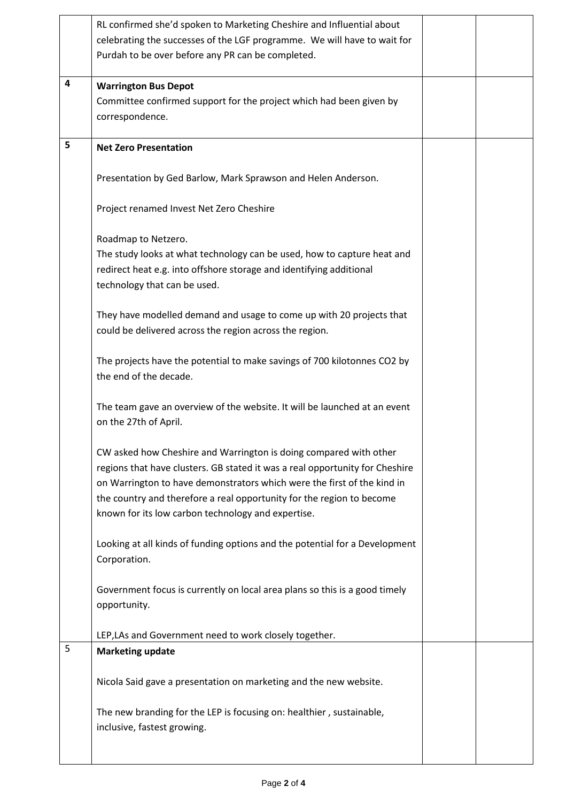|   | RL confirmed she'd spoken to Marketing Cheshire and Influential about                                                                                                                                                                                                                                                                                       |  |
|---|-------------------------------------------------------------------------------------------------------------------------------------------------------------------------------------------------------------------------------------------------------------------------------------------------------------------------------------------------------------|--|
|   | celebrating the successes of the LGF programme. We will have to wait for<br>Purdah to be over before any PR can be completed.                                                                                                                                                                                                                               |  |
|   |                                                                                                                                                                                                                                                                                                                                                             |  |
| 4 | <b>Warrington Bus Depot</b>                                                                                                                                                                                                                                                                                                                                 |  |
|   | Committee confirmed support for the project which had been given by<br>correspondence.                                                                                                                                                                                                                                                                      |  |
|   |                                                                                                                                                                                                                                                                                                                                                             |  |
| 5 | <b>Net Zero Presentation</b>                                                                                                                                                                                                                                                                                                                                |  |
|   | Presentation by Ged Barlow, Mark Sprawson and Helen Anderson.                                                                                                                                                                                                                                                                                               |  |
|   | Project renamed Invest Net Zero Cheshire                                                                                                                                                                                                                                                                                                                    |  |
|   | Roadmap to Netzero.                                                                                                                                                                                                                                                                                                                                         |  |
|   | The study looks at what technology can be used, how to capture heat and                                                                                                                                                                                                                                                                                     |  |
|   | redirect heat e.g. into offshore storage and identifying additional<br>technology that can be used.                                                                                                                                                                                                                                                         |  |
|   |                                                                                                                                                                                                                                                                                                                                                             |  |
|   | They have modelled demand and usage to come up with 20 projects that<br>could be delivered across the region across the region.                                                                                                                                                                                                                             |  |
|   |                                                                                                                                                                                                                                                                                                                                                             |  |
|   | The projects have the potential to make savings of 700 kilotonnes CO2 by<br>the end of the decade.                                                                                                                                                                                                                                                          |  |
|   | The team gave an overview of the website. It will be launched at an event<br>on the 27th of April.                                                                                                                                                                                                                                                          |  |
|   | CW asked how Cheshire and Warrington is doing compared with other<br>regions that have clusters. GB stated it was a real opportunity for Cheshire<br>on Warrington to have demonstrators which were the first of the kind in<br>the country and therefore a real opportunity for the region to become<br>known for its low carbon technology and expertise. |  |
|   | Looking at all kinds of funding options and the potential for a Development<br>Corporation.                                                                                                                                                                                                                                                                 |  |
|   | Government focus is currently on local area plans so this is a good timely<br>opportunity.                                                                                                                                                                                                                                                                  |  |
|   | LEP, LAs and Government need to work closely together.                                                                                                                                                                                                                                                                                                      |  |
| 5 | <b>Marketing update</b>                                                                                                                                                                                                                                                                                                                                     |  |
|   | Nicola Said gave a presentation on marketing and the new website.                                                                                                                                                                                                                                                                                           |  |
|   | The new branding for the LEP is focusing on: healthier, sustainable,<br>inclusive, fastest growing.                                                                                                                                                                                                                                                         |  |

 $\overline{\phantom{a}}$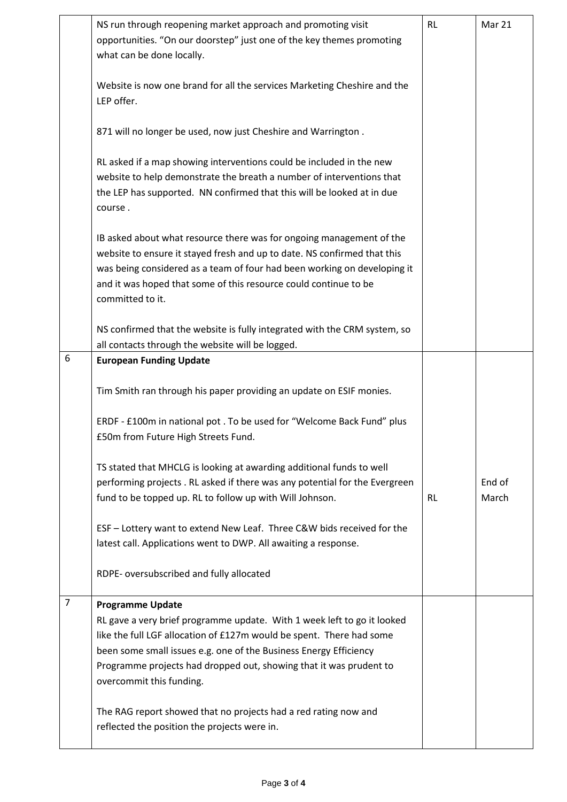|                | NS run through reopening market approach and promoting visit<br>opportunities. "On our doorstep" just one of the key themes promoting<br>what can be done locally.<br>Website is now one brand for all the services Marketing Cheshire and the<br>LEP offer.<br>871 will no longer be used, now just Cheshire and Warrington.<br>RL asked if a map showing interventions could be included in the new<br>website to help demonstrate the breath a number of interventions that<br>the LEP has supported. NN confirmed that this will be looked at in due<br>course.<br>IB asked about what resource there was for ongoing management of the<br>website to ensure it stayed fresh and up to date. NS confirmed that this | <b>RL</b> | Mar 21          |
|----------------|-------------------------------------------------------------------------------------------------------------------------------------------------------------------------------------------------------------------------------------------------------------------------------------------------------------------------------------------------------------------------------------------------------------------------------------------------------------------------------------------------------------------------------------------------------------------------------------------------------------------------------------------------------------------------------------------------------------------------|-----------|-----------------|
|                | was being considered as a team of four had been working on developing it<br>and it was hoped that some of this resource could continue to be<br>committed to it.                                                                                                                                                                                                                                                                                                                                                                                                                                                                                                                                                        |           |                 |
|                | NS confirmed that the website is fully integrated with the CRM system, so<br>all contacts through the website will be logged.                                                                                                                                                                                                                                                                                                                                                                                                                                                                                                                                                                                           |           |                 |
| 6              | <b>European Funding Update</b>                                                                                                                                                                                                                                                                                                                                                                                                                                                                                                                                                                                                                                                                                          |           |                 |
|                | Tim Smith ran through his paper providing an update on ESIF monies.                                                                                                                                                                                                                                                                                                                                                                                                                                                                                                                                                                                                                                                     |           |                 |
|                | ERDF - £100m in national pot . To be used for "Welcome Back Fund" plus<br>£50m from Future High Streets Fund.                                                                                                                                                                                                                                                                                                                                                                                                                                                                                                                                                                                                           |           |                 |
|                | TS stated that MHCLG is looking at awarding additional funds to well<br>performing projects. RL asked if there was any potential for the Evergreen<br>fund to be topped up. RL to follow up with Will Johnson.                                                                                                                                                                                                                                                                                                                                                                                                                                                                                                          | <b>RL</b> | End of<br>March |
|                | ESF - Lottery want to extend New Leaf. Three C&W bids received for the<br>latest call. Applications went to DWP. All awaiting a response.                                                                                                                                                                                                                                                                                                                                                                                                                                                                                                                                                                               |           |                 |
|                | RDPE- oversubscribed and fully allocated                                                                                                                                                                                                                                                                                                                                                                                                                                                                                                                                                                                                                                                                                |           |                 |
| $\overline{7}$ | <b>Programme Update</b><br>RL gave a very brief programme update. With 1 week left to go it looked<br>like the full LGF allocation of £127m would be spent. There had some<br>been some small issues e.g. one of the Business Energy Efficiency<br>Programme projects had dropped out, showing that it was prudent to<br>overcommit this funding.                                                                                                                                                                                                                                                                                                                                                                       |           |                 |
|                | The RAG report showed that no projects had a red rating now and<br>reflected the position the projects were in.                                                                                                                                                                                                                                                                                                                                                                                                                                                                                                                                                                                                         |           |                 |